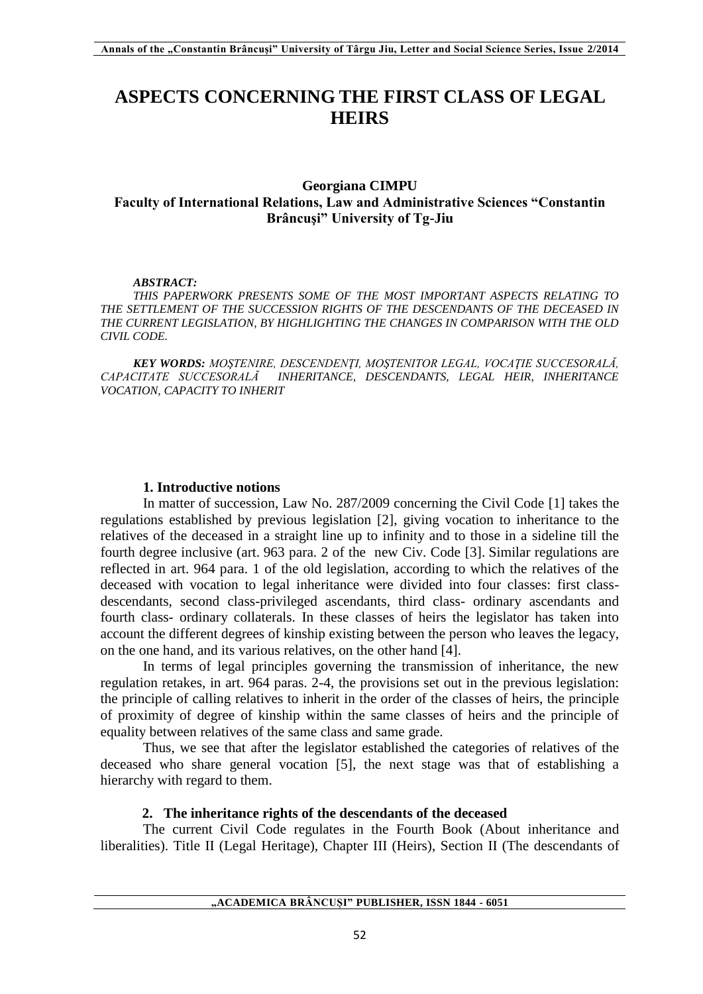# **ASPECTS CONCERNING THE FIRST CLASS OF LEGAL HEIRS**

# **Georgiana CIMPU Faculty of International Relations, Law and Administrative Sciences "Constantin Brâncuşi" University of Tg-Jiu**

### *ABSTRACT:*

*THIS PAPERWORK PRESENTS SOME OF THE MOST IMPORTANT ASPECTS RELATING TO THE SETTLEMENT OF THE SUCCESSION RIGHTS OF THE DESCENDANTS OF THE DECEASED IN THE CURRENT LEGISLATION, BY HIGHLIGHTING THE CHANGES IN COMPARISON WITH THE OLD CIVIL CODE.*

*KEY WORDS: MOŞTENIRE, DESCENDENŢI, MOŞTENITOR LEGAL, VOCAŢIE SUCCESORALĂ, CAPACITATE SUCCESORALĂ INHERITANCE, DESCENDANTS, LEGAL HEIR, INHERITANCE VOCATION, CAPACITY TO INHERIT*

## **1. Introductive notions**

In matter of succession, Law No. 287/2009 concerning the Civil Code [1] takes the regulations established by previous legislation [2], giving vocation to inheritance to the relatives of the deceased in a straight line up to infinity and to those in a sideline till the fourth degree inclusive (art. 963 para. 2 of the new Civ. Code [3]. Similar regulations are reflected in art. 964 para. 1 of the old legislation, according to which the relatives of the deceased with vocation to legal inheritance were divided into four classes: first classdescendants, second class-privileged ascendants, third class- ordinary ascendants and fourth class- ordinary collaterals. In these classes of heirs the legislator has taken into account the different degrees of kinship existing between the person who leaves the legacy, on the one hand, and its various relatives, on the other hand [4].

In terms of legal principles governing the transmission of inheritance, the new regulation retakes, in art. 964 paras. 2-4, the provisions set out in the previous legislation: the principle of calling relatives to inherit in the order of the classes of heirs, the principle of proximity of degree of kinship within the same classes of heirs and the principle of equality between relatives of the same class and same grade.

Thus, we see that after the legislator established the categories of relatives of the deceased who share general vocation [5], the next stage was that of establishing a hierarchy with regard to them.

# **2. The inheritance rights of the descendants of the deceased**

The current Civil Code regulates in the Fourth Book (About inheritance and liberalities). Title II (Legal Heritage), Chapter III (Heirs), Section II (The descendants of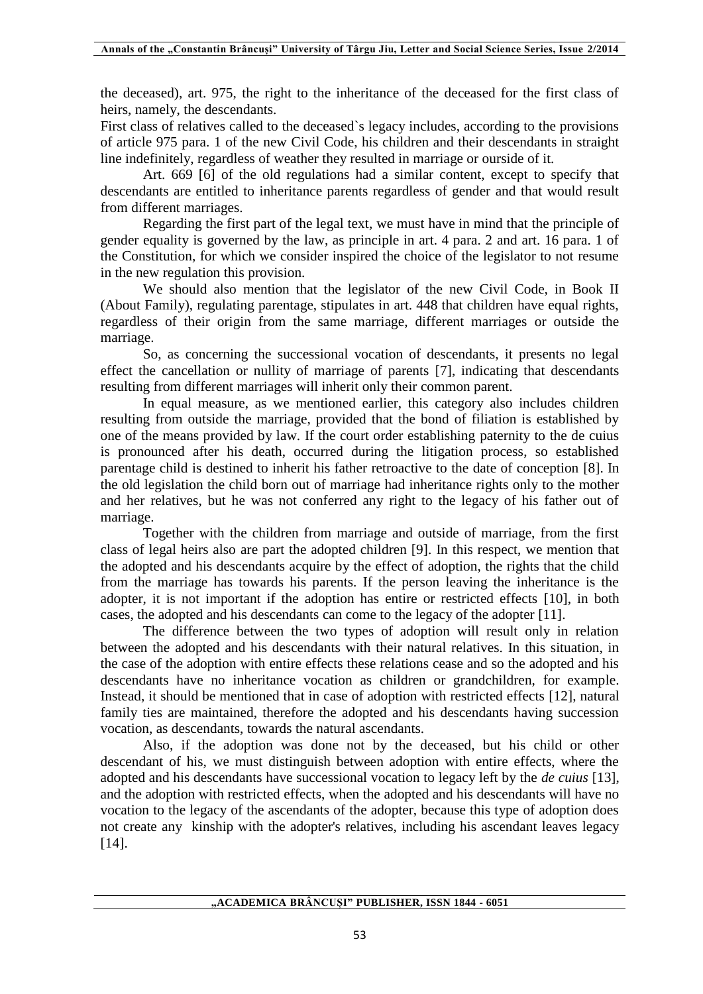the deceased), art. 975, the right to the inheritance of the deceased for the first class of heirs, namely, the descendants.

First class of relatives called to the deceased`s legacy includes, according to the provisions of article 975 para. 1 of the new Civil Code, his children and their descendants in straight line indefinitely, regardless of weather they resulted in marriage or ourside of it.

Art. 669 [6] of the old regulations had a similar content, except to specify that descendants are entitled to inheritance parents regardless of gender and that would result from different marriages.

Regarding the first part of the legal text, we must have in mind that the principle of gender equality is governed by the law, as principle in art. 4 para. 2 and art. 16 para. 1 of the Constitution, for which we consider inspired the choice of the legislator to not resume in the new regulation this provision.

We should also mention that the legislator of the new Civil Code, in Book II (About Family), regulating parentage, stipulates in art. 448 that children have equal rights, regardless of their origin from the same marriage, different marriages or outside the marriage.

So, as concerning the successional vocation of descendants, it presents no legal effect the cancellation or nullity of marriage of parents [7], indicating that descendants resulting from different marriages will inherit only their common parent.

In equal measure, as we mentioned earlier, this category also includes children resulting from outside the marriage, provided that the bond of filiation is established by one of the means provided by law. If the court order establishing paternity to the de cuius is pronounced after his death, occurred during the litigation process, so established parentage child is destined to inherit his father retroactive to the date of conception [8]. In the old legislation the child born out of marriage had inheritance rights only to the mother and her relatives, but he was not conferred any right to the legacy of his father out of marriage.

Together with the children from marriage and outside of marriage, from the first class of legal heirs also are part the adopted children [9]. In this respect, we mention that the adopted and his descendants acquire by the effect of adoption, the rights that the child from the marriage has towards his parents. If the person leaving the inheritance is the adopter, it is not important if the adoption has entire or restricted effects [10], in both cases, the adopted and his descendants can come to the legacy of the adopter [11].

The difference between the two types of adoption will result only in relation between the adopted and his descendants with their natural relatives. In this situation, in the case of the adoption with entire effects these relations cease and so the adopted and his descendants have no inheritance vocation as children or grandchildren, for example. Instead, it should be mentioned that in case of adoption with restricted effects [12], natural family ties are maintained, therefore the adopted and his descendants having succession vocation, as descendants, towards the natural ascendants.

Also, if the adoption was done not by the deceased, but his child or other descendant of his, we must distinguish between adoption with entire effects, where the adopted and his descendants have successional vocation to legacy left by the *de cuius* [13], and the adoption with restricted effects, when the adopted and his descendants will have no vocation to the legacy of the ascendants of the adopter, because this type of adoption does not create any kinship with the adopter's relatives, including his ascendant leaves legacy [14].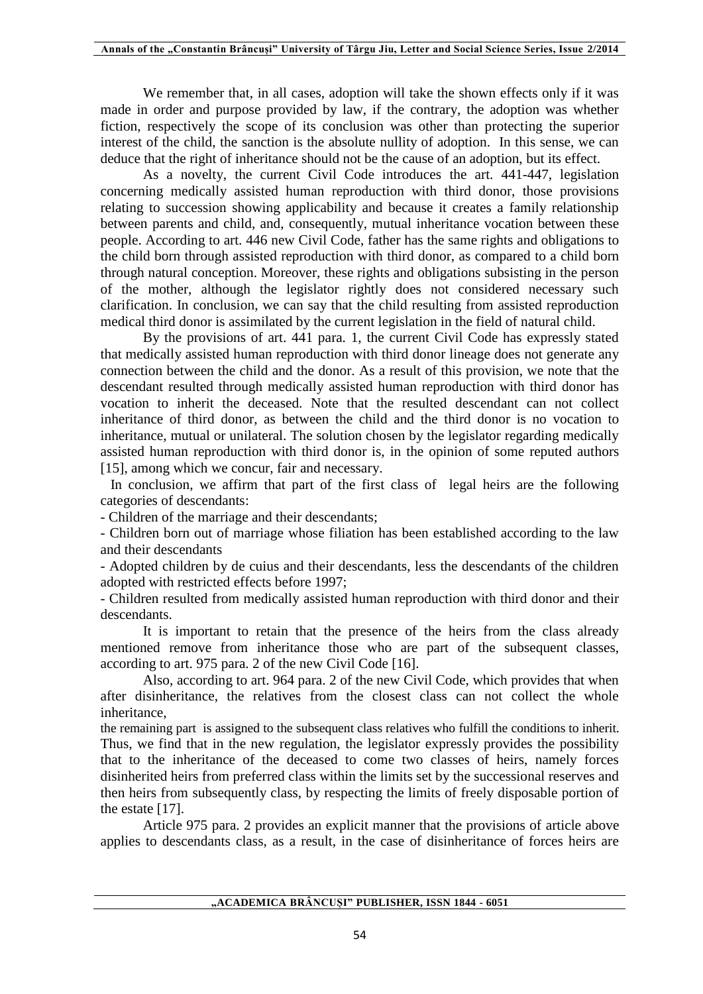We remember that, in all cases, adoption will take the shown effects only if it was made in order and purpose provided by law, if the contrary, the adoption was whether fiction, respectively the scope of its conclusion was other than protecting the superior interest of the child, the sanction is the absolute nullity of adoption. In this sense, we can deduce that the right of inheritance should not be the cause of an adoption, but its effect.

As a novelty, the current Civil Code introduces the art. 441-447, legislation concerning medically assisted human reproduction with third donor, those provisions relating to succession showing applicability and because it creates a family relationship between parents and child, and, consequently, mutual inheritance vocation between these people. According to art. 446 new Civil Code, father has the same rights and obligations to the child born through assisted reproduction with third donor, as compared to a child born through natural conception. Moreover, these rights and obligations subsisting in the person of the mother, although the legislator rightly does not considered necessary such clarification. In conclusion, we can say that the child resulting from assisted reproduction medical third donor is assimilated by the current legislation in the field of natural child.

By the provisions of art. 441 para. 1, the current Civil Code has expressly stated that medically assisted human reproduction with third donor lineage does not generate any connection between the child and the donor. As a result of this provision, we note that the descendant resulted through medically assisted human reproduction with third donor has vocation to inherit the deceased. Note that the resulted descendant can not collect inheritance of third donor, as between the child and the third donor is no vocation to inheritance, mutual or unilateral. The solution chosen by the legislator regarding medically assisted human reproduction with third donor is, in the opinion of some reputed authors [15], among which we concur, fair and necessary.

In conclusion, we affirm that part of the first class of legal heirs are the following categories of descendants:

- Children of the marriage and their descendants;

- Children born out of marriage whose filiation has been established according to the law and their descendants

- Adopted children by de cuius and their descendants, less the descendants of the children adopted with restricted effects before 1997;

- Children resulted from medically assisted human reproduction with third donor and their descendants.

It is important to retain that the presence of the heirs from the class already mentioned remove from inheritance those who are part of the subsequent classes, according to art. 975 para. 2 of the new Civil Code [16].

Also, according to art. 964 para. 2 of the new Civil Code, which provides that when after disinheritance, the relatives from the closest class can not collect the whole inheritance,

the remaining part is assigned to the subsequent class relatives who fulfill the conditions to inherit. Thus, we find that in the new regulation, the legislator expressly provides the possibility that to the inheritance of the deceased to come two classes of heirs, namely forces disinherited heirs from preferred class within the limits set by the successional reserves and then heirs from subsequently class, by respecting the limits of freely disposable portion of the estate [17].

Article 975 para. 2 provides an explicit manner that the provisions of article above applies to descendants class, as a result, in the case of disinheritance of forces heirs are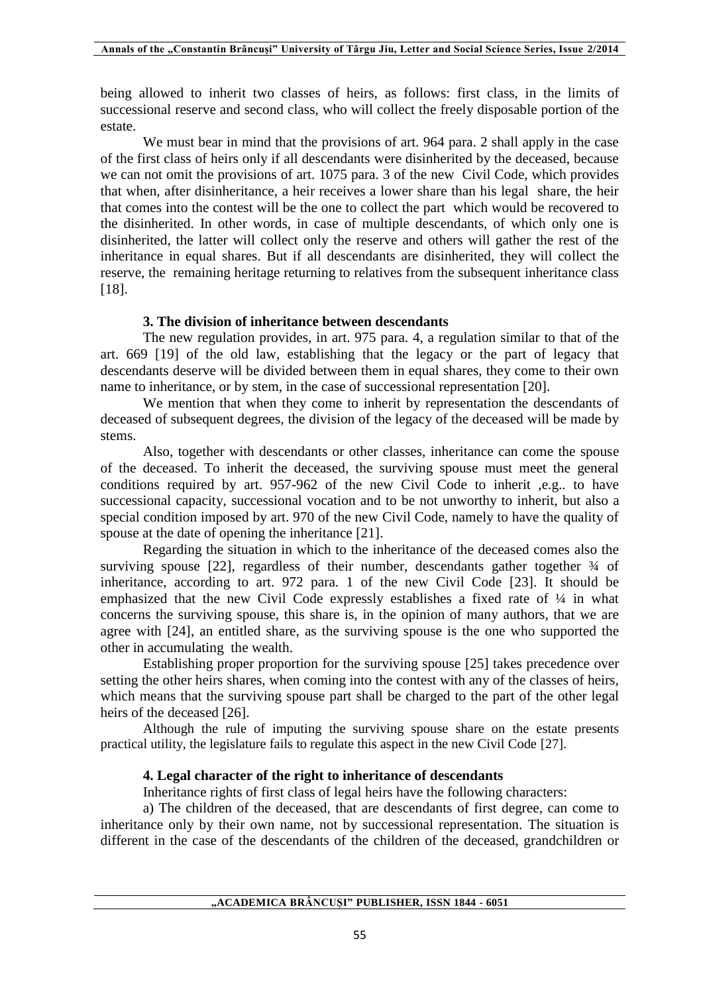being allowed to inherit two classes of heirs, as follows: first class, in the limits of successional reserve and second class, who will collect the freely disposable portion of the estate.

We must bear in mind that the provisions of art. 964 para. 2 shall apply in the case of the first class of heirs only if all descendants were disinherited by the deceased, because we can not omit the provisions of art. 1075 para. 3 of the new Civil Code, which provides that when, after disinheritance, a heir receives a lower share than his legal share, the heir that comes into the contest will be the one to collect the part which would be recovered to the disinherited. In other words, in case of multiple descendants, of which only one is disinherited, the latter will collect only the reserve and others will gather the rest of the inheritance in equal shares. But if all descendants are disinherited, they will collect the reserve, the remaining heritage returning to relatives from the subsequent inheritance class [18].

## **3. The division of inheritance between descendants**

The new regulation provides, in art. 975 para. 4, a regulation similar to that of the art. 669 [19] of the old law, establishing that the legacy or the part of legacy that descendants deserve will be divided between them in equal shares, they come to their own name to inheritance, or by stem, in the case of successional representation [20].

We mention that when they come to inherit by representation the descendants of deceased of subsequent degrees, the division of the legacy of the deceased will be made by stems.

Also, together with descendants or other classes, inheritance can come the spouse of the deceased. To inherit the deceased, the surviving spouse must meet the general conditions required by art. 957-962 of the new Civil Code to inherit ,e.g.. to have successional capacity, successional vocation and to be not unworthy to inherit, but also a special condition imposed by art. 970 of the new Civil Code, namely to have the quality of spouse at the date of opening the inheritance [21].

Regarding the situation in which to the inheritance of the deceased comes also the surviving spouse  $[22]$ , regardless of their number, descendants gather together  $\frac{3}{4}$  of inheritance, according to art. 972 para. 1 of the new Civil Code [23]. It should be emphasized that the new Civil Code expressly establishes a fixed rate of  $\frac{1}{4}$  in what concerns the surviving spouse, this share is, in the opinion of many authors, that we are agree with [24], an entitled share, as the surviving spouse is the one who supported the other in accumulating the wealth.

Establishing proper proportion for the surviving spouse [25] takes precedence over setting the other heirs shares, when coming into the contest with any of the classes of heirs, which means that the surviving spouse part shall be charged to the part of the other legal heirs of the deceased [26].

Although the rule of imputing the surviving spouse share on the estate presents practical utility, the legislature fails to regulate this aspect in the new Civil Code [27].

## **4. Legal character of the right to inheritance of descendants**

Inheritance rights of first class of legal heirs have the following characters:

a) The children of the deceased, that are descendants of first degree, can come to inheritance only by their own name, not by successional representation. The situation is different in the case of the descendants of the children of the deceased, grandchildren or

**"ACADEMICA BRÂNCUȘI" PUBLISHER, ISSN 1844 - 6051**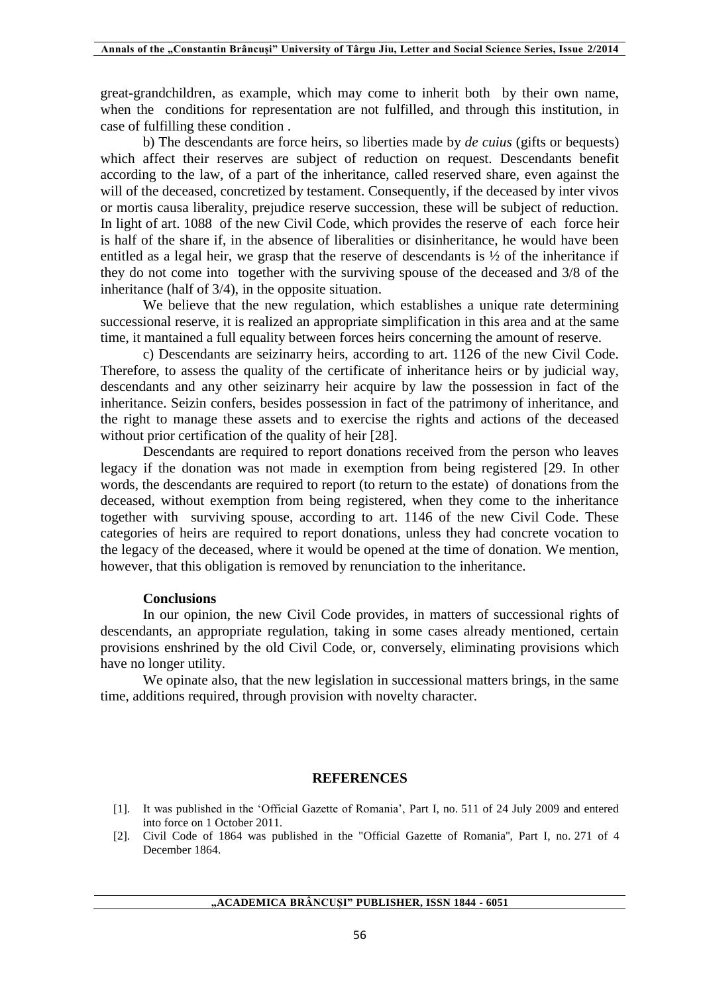great-grandchildren, as example, which may come to inherit both by their own name, when the conditions for representation are not fulfilled, and through this institution, in case of fulfilling these condition .

b) The descendants are force heirs, so liberties made by *de cuius* (gifts or bequests) which affect their reserves are subject of reduction on request. Descendants benefit according to the law, of a part of the inheritance, called reserved share, even against the will of the deceased, concretized by testament. Consequently, if the deceased by inter vivos or mortis causa liberality, prejudice reserve succession, these will be subject of reduction. In light of art. 1088 of the new Civil Code, which provides the reserve of each force heir is half of the share if, in the absence of liberalities or disinheritance, he would have been entitled as a legal heir, we grasp that the reserve of descendants is  $\frac{1}{2}$  of the inheritance if they do not come into together with the surviving spouse of the deceased and 3/8 of the inheritance (half of 3/4), in the opposite situation.

We believe that the new regulation, which establishes a unique rate determining successional reserve, it is realized an appropriate simplification in this area and at the same time, it mantained a full equality between forces heirs concerning the amount of reserve.

c) Descendants are seizinarry heirs, according to art. 1126 of the new Civil Code. Therefore, to assess the quality of the certificate of inheritance heirs or by judicial way. descendants and any other seizinarry heir acquire by law the possession in fact of the inheritance. Seizin confers, besides possession in fact of the patrimony of inheritance, and the right to manage these assets and to exercise the rights and actions of the deceased without prior certification of the quality of heir [28].

Descendants are required to report donations received from the person who leaves legacy if the donation was not made in exemption from being registered [29. In other words, the descendants are required to report (to return to the estate) of donations from the deceased, without exemption from being registered, when they come to the inheritance together with surviving spouse, according to art. 1146 of the new Civil Code. These categories of heirs are required to report donations, unless they had concrete vocation to the legacy of the deceased, where it would be opened at the time of donation. We mention, however, that this obligation is removed by renunciation to the inheritance.

#### **Conclusions**

In our opinion, the new Civil Code provides, in matters of successional rights of descendants, an appropriate regulation, taking in some cases already mentioned, certain provisions enshrined by the old Civil Code, or, conversely, eliminating provisions which have no longer utility.

We opinate also, that the new legislation in successional matters brings, in the same time, additions required, through provision with novelty character.

#### **REFERENCES**

- [1]. It was published in the 'Official Gazette of Romania', Part I, no. 511 of 24 July 2009 and entered into force on 1 October 2011.
- [2]. Civil Code of 1864 was published in the "Official Gazette of Romania'', Part I, no. 271 of 4 December 1864.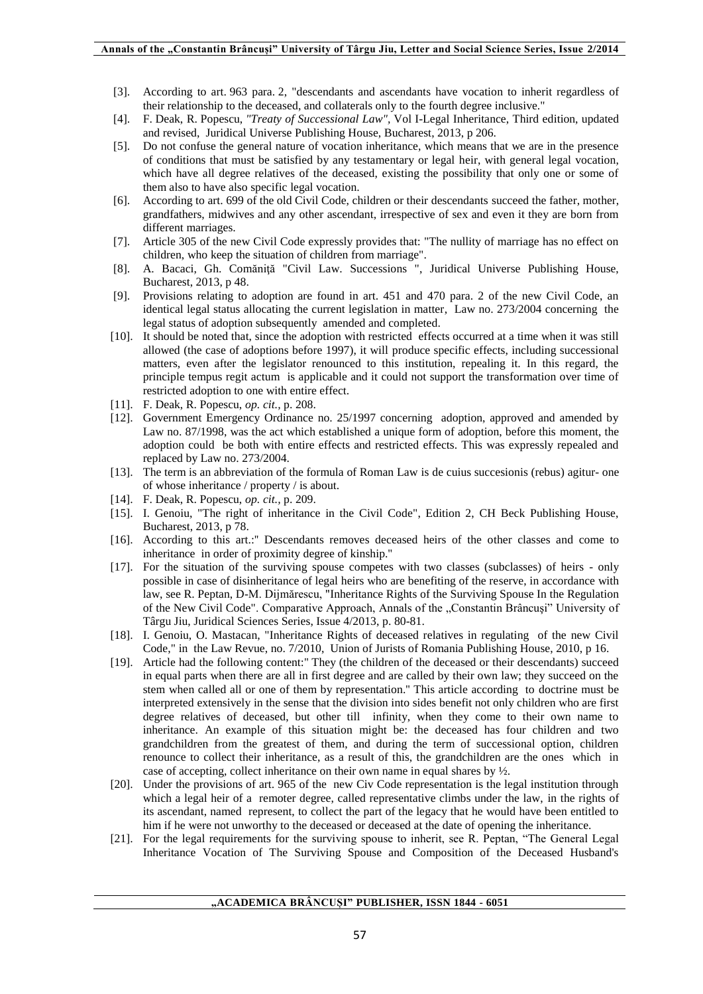- [3]. According to art. 963 para. 2, "descendants and ascendants have vocation to inherit regardless of their relationship to the deceased, and collaterals only to the fourth degree inclusive."
- [4]. F. Deak, R. Popescu, *"Treaty of Successional Law",* Vol I-Legal Inheritance, Third edition, updated and revised, Juridical Universe Publishing House, Bucharest, 2013, p 206.
- [5]. Do not confuse the general nature of vocation inheritance, which means that we are in the presence of conditions that must be satisfied by any testamentary or legal heir, with general legal vocation, which have all degree relatives of the deceased, existing the possibility that only one or some of them also to have also specific legal vocation.
- [6]. According to art. 699 of the old Civil Code, children or their descendants succeed the father, mother, grandfathers, midwives and any other ascendant, irrespective of sex and even it they are born from different marriages.
- [7]. Article 305 of the new Civil Code expressly provides that: "The nullity of marriage has no effect on children, who keep the situation of children from marriage".
- [8]. A. Bacaci, Gh. Comăniţă "Civil Law. Successions ", Juridical Universe Publishing House, Bucharest, 2013, p 48.
- [9]. Provisions relating to adoption are found in art. 451 and 470 para. 2 of the new Civil Code, an identical legal status allocating the current legislation in matter, Law no. 273/2004 concerning the legal status of adoption subsequently amended and completed.
- [10]. It should be noted that, since the adoption with restricted effects occurred at a time when it was still allowed (the case of adoptions before 1997), it will produce specific effects, including successional matters, even after the legislator renounced to this institution, repealing it. In this regard, the principle tempus regit actum is applicable and it could not support the transformation over time of restricted adoption to one with entire effect.
- [11]. F. Deak, R. Popescu, *op. cit.,* p. 208.
- [12]. Government Emergency Ordinance no. 25/1997 concerning adoption, approved and amended by Law no. 87/1998, was the act which established a unique form of adoption, before this moment, the adoption could be both with entire effects and restricted effects. This was expressly repealed and replaced by Law no. 273/2004.
- [13]. The term is an abbreviation of the formula of Roman Law is de cuius succesionis (rebus) agitur- one of whose inheritance / property / is about.
- [14]. F. Deak, R. Popescu, *op. cit.,* p. 209.
- [15]. I. Genoiu, "The right of inheritance in the Civil Code", Edition 2, CH Beck Publishing House, Bucharest, 2013, p 78.
- [16]. According to this art.:'' Descendants removes deceased heirs of the other classes and come to inheritance in order of proximity degree of kinship.''
- [17]. For the situation of the surviving spouse competes with two classes (subclasses) of heirs only possible in case of disinheritance of legal heirs who are benefiting of the reserve, in accordance with law, see R. Peptan, D-M. Dijmărescu, "Inheritance Rights of the Surviving Spouse In the Regulation of the New Civil Code". Comparative Approach, Annals of the "Constantin Brâncuși" University of Târgu Jiu, Juridical Sciences Series, Issue 4/2013, p. 80-81.
- [18]. I. Genoiu, O. Mastacan, "Inheritance Rights of deceased relatives in regulating of the new Civil Code," in the Law Revue, no. 7/2010, Union of Jurists of Romania Publishing House, 2010, p 16.
- [19]. Article had the following content:'' They (the children of the deceased or their descendants) succeed in equal parts when there are all in first degree and are called by their own law; they succeed on the stem when called all or one of them by representation.'' This article according to doctrine must be interpreted extensively in the sense that the division into sides benefit not only children who are first degree relatives of deceased, but other till infinity, when they come to their own name to inheritance. An example of this situation might be: the deceased has four children and two grandchildren from the greatest of them, and during the term of successional option, children renounce to collect their inheritance, as a result of this, the grandchildren are the ones which in case of accepting, collect inheritance on their own name in equal shares by ½.
- [20]. Under the provisions of art. 965 of the new Civ Code representation is the legal institution through which a legal heir of a remoter degree, called representative climbs under the law, in the rights of its ascendant, named represent, to collect the part of the legacy that he would have been entitled to him if he were not unworthy to the deceased or deceased at the date of opening the inheritance.
- [21]. For the legal requirements for the surviving spouse to inherit, see R. Peptan, "The General Legal Inheritance Vocation of The Surviving Spouse and Composition of the Deceased Husband's